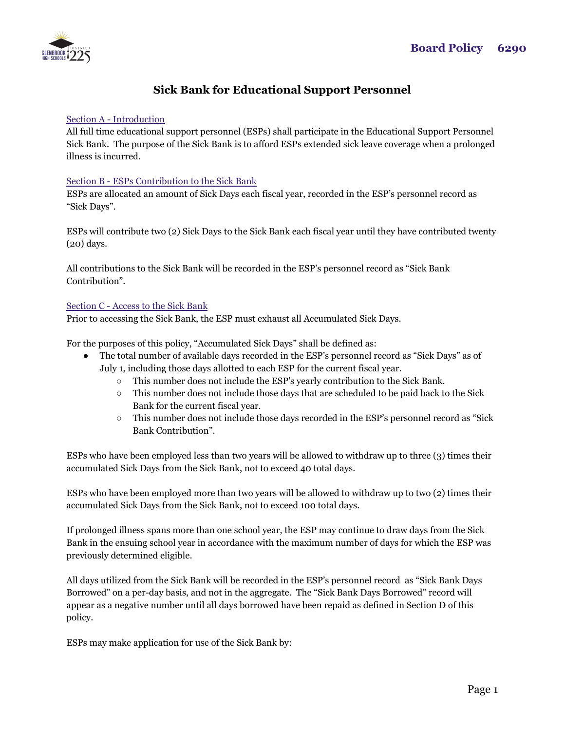

# **Sick Bank for Educational Support Personnel**

# Section A - Introduction

All full time educational support personnel (ESPs) shall participate in the Educational Support Personnel Sick Bank. The purpose of the Sick Bank is to afford ESPs extended sick leave coverage when a prolonged illness is incurred.

### Section B - ESPs Contribution to the Sick Bank

ESPs are allocated an amount of Sick Days each fiscal year, recorded in the ESP's personnel record as "Sick Days".

ESPs will contribute two (2) Sick Days to the Sick Bank each fiscal year until they have contributed twenty (20) days.

All contributions to the Sick Bank will be recorded in the ESP's personnel record as "Sick Bank Contribution".

### Section C - Access to the Sick Bank

Prior to accessing the Sick Bank, the ESP must exhaust all Accumulated Sick Days.

For the purposes of this policy, "Accumulated Sick Days" shall be defined as:

- The total number of available days recorded in the ESP's personnel record as "Sick Days" as of July 1, including those days allotted to each ESP for the current fiscal year.
	- This number does not include the ESP's yearly contribution to the Sick Bank.
	- $\circ$  This number does not include those days that are scheduled to be paid back to the Sick Bank for the current fiscal year.
	- This number does not include those days recorded in the ESP's personnel record as "Sick Bank Contribution".

ESPs who have been employed less than two years will be allowed to withdraw up to three (3) times their accumulated Sick Days from the Sick Bank, not to exceed 40 total days.

ESPs who have been employed more than two years will be allowed to withdraw up to two (2) times their accumulated Sick Days from the Sick Bank, not to exceed 100 total days.

If prolonged illness spans more than one school year, the ESP may continue to draw days from the Sick Bank in the ensuing school year in accordance with the maximum number of days for which the ESP was previously determined eligible.

All days utilized from the Sick Bank will be recorded in the ESP's personnel record as "Sick Bank Days Borrowed" on a per-day basis, and not in the aggregate. The "Sick Bank Days Borrowed" record will appear as a negative number until all days borrowed have been repaid as defined in Section D of this policy.

ESPs may make application for use of the Sick Bank by: